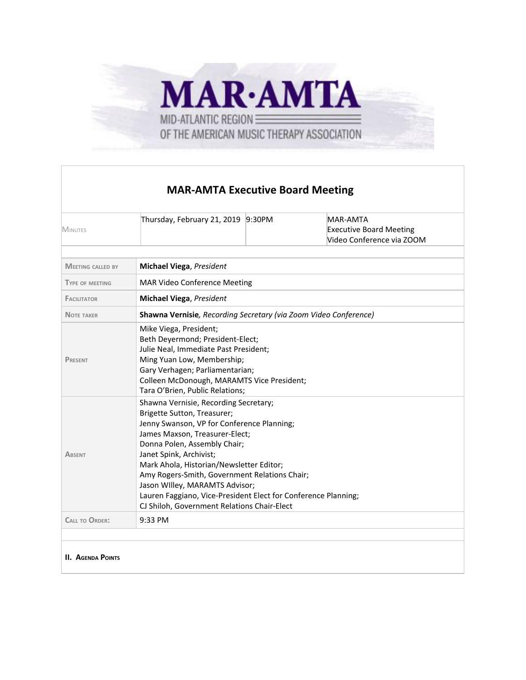

## **MAR-AMTA Executive Board Meeting**

| <b>MINUTES</b>           | Thursday, February 21, 2019 9:30PM                                                                                                                                                                                                                                                                                                                                                                                                                              |  | MAR-AMTA<br><b>Executive Board Meeting</b><br>Video Conference via ZOOM |  |  |  |
|--------------------------|-----------------------------------------------------------------------------------------------------------------------------------------------------------------------------------------------------------------------------------------------------------------------------------------------------------------------------------------------------------------------------------------------------------------------------------------------------------------|--|-------------------------------------------------------------------------|--|--|--|
| <b>MEETING CALLED BY</b> | <b>Michael Viega, President</b>                                                                                                                                                                                                                                                                                                                                                                                                                                 |  |                                                                         |  |  |  |
| <b>TYPE OF MEETING</b>   | MAR Video Conference Meeting                                                                                                                                                                                                                                                                                                                                                                                                                                    |  |                                                                         |  |  |  |
| <b>FACILITATOR</b>       | <b>Michael Viega, President</b>                                                                                                                                                                                                                                                                                                                                                                                                                                 |  |                                                                         |  |  |  |
| <b>NOTE TAKER</b>        | Shawna Vernisie, Recording Secretary (via Zoom Video Conference)                                                                                                                                                                                                                                                                                                                                                                                                |  |                                                                         |  |  |  |
| <b>PRESENT</b>           | Mike Viega, President;<br>Beth Deyermond; President-Elect;<br>Julie Neal, Immediate Past President;<br>Ming Yuan Low, Membership;<br>Gary Verhagen; Parliamentarian;<br>Colleen McDonough, MARAMTS Vice President;<br>Tara O'Brien, Public Relations;                                                                                                                                                                                                           |  |                                                                         |  |  |  |
| <b>ABSENT</b>            | Shawna Vernisie, Recording Secretary;<br>Brigette Sutton, Treasurer;<br>Jenny Swanson, VP for Conference Planning;<br>James Maxson, Treasurer-Elect;<br>Donna Polen, Assembly Chair;<br>Janet Spink, Archivist;<br>Mark Ahola, Historian/Newsletter Editor;<br>Amy Rogers-Smith, Government Relations Chair;<br>Jason Willey, MARAMTS Advisor;<br>Lauren Faggiano, Vice-President Elect for Conference Planning;<br>CJ Shiloh, Government Relations Chair-Elect |  |                                                                         |  |  |  |
| <b>CALL TO ORDER:</b>    | 9:33 PM                                                                                                                                                                                                                                                                                                                                                                                                                                                         |  |                                                                         |  |  |  |
|                          |                                                                                                                                                                                                                                                                                                                                                                                                                                                                 |  |                                                                         |  |  |  |
| <b>II. AGENDA POINTS</b> |                                                                                                                                                                                                                                                                                                                                                                                                                                                                 |  |                                                                         |  |  |  |